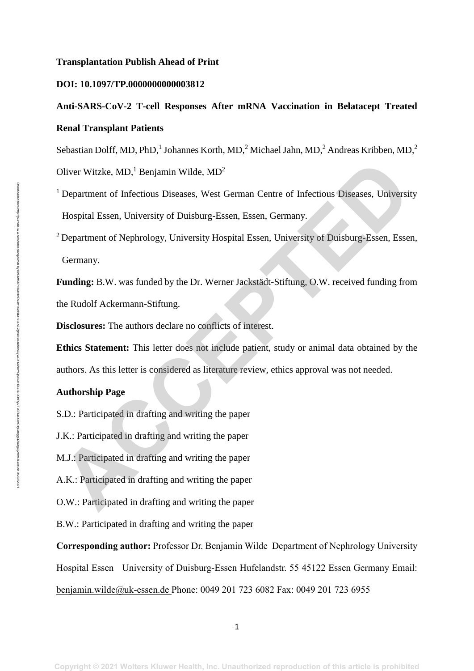#### **Transplantation Publish Ahead of Print**

### **DOI: 10.1097/TP.0000000000003812**

# **Anti-SARS-CoV-2 T-cell Responses After mRNA Vaccination in Belatacept Treated Renal Transplant Patients**

Sebastian Dolff, MD, PhD,<sup>1</sup> Johannes Korth, MD,<sup>2</sup> Michael Jahn, MD,<sup>2</sup> Andreas Kribben, MD,<sup>2</sup>

Oliver Witzke,  $MD<sup>1</sup>$  Benjamin Wilde,  $MD<sup>2</sup>$ 

<sup>1</sup> Department of Infectious Diseases, West German Centre of Infectious Diseases, University Hospital Essen, University of Duisburg-Essen, Essen, Germany. Oliver Wizzke, MD,<sup>1</sup> Benjamin Wilde, MD<sup>2</sup><br><sup>2</sup> Department of Infectious Diseases, West German Centre of Infectious Diseases, University<br>Hospital Essen, University of Duisburg-Essen, Essen, Germany.<br><sup>2</sup> Department of Nephr

<sup>2</sup> Department of Nephrology, University Hospital Essen, University of Duisburg-Essen, Essen, Germany.

**Funding:** B.W. was funded by the Dr. Werner Jackstädt-Stiftung, O.W. received funding from the Rudolf Ackermann-Stiftung.

**Disclosures:** The authors declare no conflicts of interest.

**Ethics Statement:** This letter does not include patient, study or animal data obtained by the authors. As this letter is considered as literature review, ethics approval was not needed.

### **Authorship Page**

S.D.: Participated in drafting and writing the paper

J.K.: Participated in drafting and writing the paper

M.J.: Participated in drafting and writing the paper

A.K.: Participated in drafting and writing the paper

O.W.: Participated in drafting and writing the paper

B.W.: Participated in drafting and writing the paper

**Corresponding author:** Professor Dr. Benjamin Wilde Department of Nephrology University Hospital Essen University of Duisburg-Essen Hufelandstr. 55 45122 Essen Germany Email: [benjamin.wilde@uk-essen.de](mailto:benjamin.wilde@uk-essen.de) Phone: 0049 201 723 6082 Fax: 0049 201 723 6955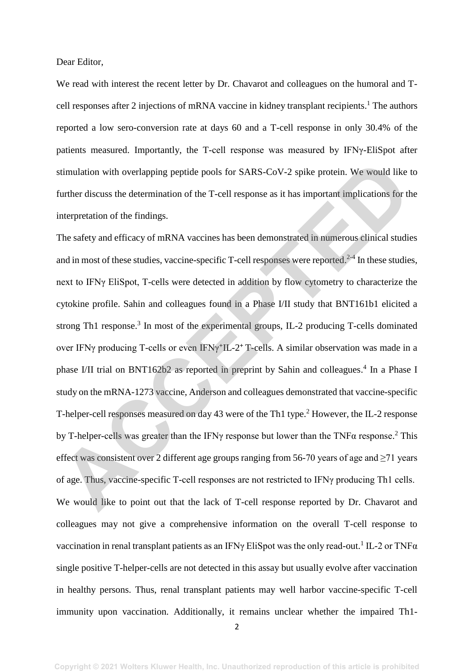Dear Editor,

We read with interest the recent letter by Dr. Chavarot and colleagues on the humoral and Tcell responses after 2 injections of mRNA vaccine in kidney transplant recipients.<sup>1</sup> The authors reported a low sero-conversion rate at days 60 and a T-cell response in only 30.4% of the patients measured. Importantly, the T-cell response was measured by IFNγ-EliSpot after stimulation with overlapping peptide pools for SARS-CoV-2 spike protein. We would like to further discuss the determination of the T-cell response as it has important implications for the interpretation of the findings.

The safety and efficacy of mRNA vaccines has been demonstrated in numerous clinical studies and in most of these studies, vaccine-specific T-cell responses were reported.<sup>2-4</sup> In these studies, next to IFNγ EliSpot, T-cells were detected in addition by flow cytometry to characterize the cytokine profile. Sahin and colleagues found in a Phase I/II study that BNT161b1 elicited a strong Th1 response.<sup>3</sup> In most of the experimental groups, IL-2 producing T-cells dominated over IFNγ producing T-cells or even IFNγ**<sup>+</sup>** IL-2**<sup>+</sup>**T-cells. A similar observation was made in a phase I/II trial on BNT162b2 as reported in preprint by Sahin and colleagues.<sup>4</sup> In a Phase I study on the mRNA-1273 vaccine, Anderson and colleagues demonstrated that vaccine-specific T-helper-cell responses measured on day 43 were of the Th1 type.<sup>2</sup> However, the IL-2 response by T-helper-cells was greater than the IFN $\gamma$  response but lower than the TNF $\alpha$  response.<sup>2</sup> This effect was consistent over 2 different age groups ranging from 56-70 years of age and  $\geq$ 71 years of age. Thus, vaccine-specific T-cell responses are not restricted to IFNγ producing Th1 cells. We would like to point out that the lack of T-cell response reported by Dr. Chavarot and colleagues may not give a comprehensive information on the overall T-cell response to vaccination in renal transplant patients as an IFN $\gamma$  EliSpot was the only read-out.<sup>1</sup> IL-2 or TNF $\alpha$ single positive T-helper-cells are not detected in this assay but usually evolve after vaccination in healthy persons. Thus, renal transplant patients may well harbor vaccine-specific T-cell immunity upon vaccination. Additionally, it remains unclear whether the impaired Th1 stimulation with overlapping peptide pools for SARS-CoV-2 spike protein. We would like<br>further discuss the determination of the T-cell response as it has important implications for the<br>further discuss the determination of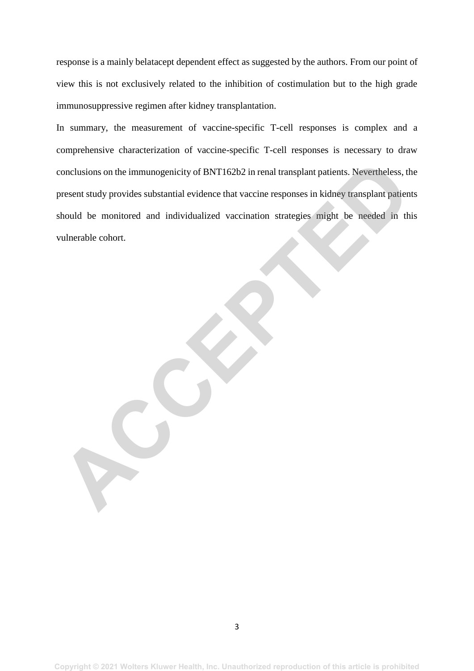response is a mainly belatacept dependent effect as suggested by the authors. From our point of view this is not exclusively related to the inhibition of costimulation but to the high grade immunosuppressive regimen after kidney transplantation.

In summary, the measurement of vaccine-specific T-cell responses is complex and a comprehensive characterization of vaccine-specific T-cell responses is necessary to draw conclusions on the immunogenicity of BNT162b2 in renal transplant patients. Nevertheless, the present study provides substantial evidence that vaccine responses in kidney transplant patients should be monitored and individualized vaccination strategies might be needed in this vulnerable cohort. conclusions on the immunogenicity of BNT162b2 in renal transplant patients. Nevertheless, the present study provides substantial evidence that vaccine responses in kidney transplant patient behold be monitored and individu